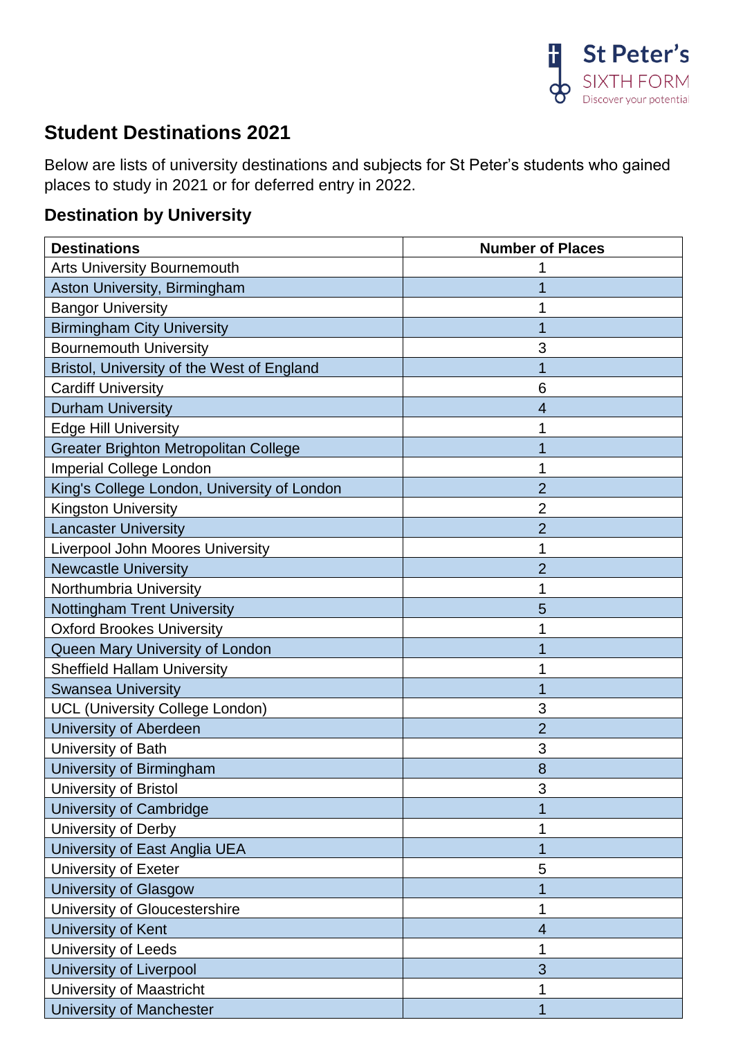

## **Student Destinations 2021**

Below are lists of university destinations and subjects for St Peter's students who gained places to study in 2021 or for deferred entry in 2022.

## **Destination by University**

| <b>Destinations</b>                          | <b>Number of Places</b> |
|----------------------------------------------|-------------------------|
| <b>Arts University Bournemouth</b>           |                         |
| Aston University, Birmingham                 |                         |
| <b>Bangor University</b>                     |                         |
| <b>Birmingham City University</b>            |                         |
| <b>Bournemouth University</b>                | 3                       |
| Bristol, University of the West of England   |                         |
| <b>Cardiff University</b>                    | 6                       |
| <b>Durham University</b>                     | 4                       |
| <b>Edge Hill University</b>                  |                         |
| <b>Greater Brighton Metropolitan College</b> | 1                       |
| <b>Imperial College London</b>               |                         |
| King's College London, University of London  | $\overline{2}$          |
| <b>Kingston University</b>                   | 2                       |
| <b>Lancaster University</b>                  | $\overline{2}$          |
| <b>Liverpool John Moores University</b>      | 1                       |
| <b>Newcastle University</b>                  | $\overline{2}$          |
| Northumbria University                       | 1                       |
| <b>Nottingham Trent University</b>           | 5                       |
| <b>Oxford Brookes University</b>             |                         |
| Queen Mary University of London              |                         |
| <b>Sheffield Hallam University</b>           |                         |
| <b>Swansea University</b>                    |                         |
| <b>UCL (University College London)</b>       | 3                       |
| University of Aberdeen                       | $\overline{2}$          |
| University of Bath                           | 3                       |
| University of Birmingham                     | 8                       |
| University of Bristol                        | 3                       |
| University of Cambridge                      |                         |
| University of Derby                          | 1                       |
| University of East Anglia UEA                | 1                       |
| University of Exeter                         | 5                       |
| <b>University of Glasgow</b>                 |                         |
| University of Gloucestershire                | 1                       |
| University of Kent                           | 4                       |
| University of Leeds                          | 1                       |
| University of Liverpool                      | 3                       |
| University of Maastricht                     | 1                       |
| <b>University of Manchester</b>              | 1                       |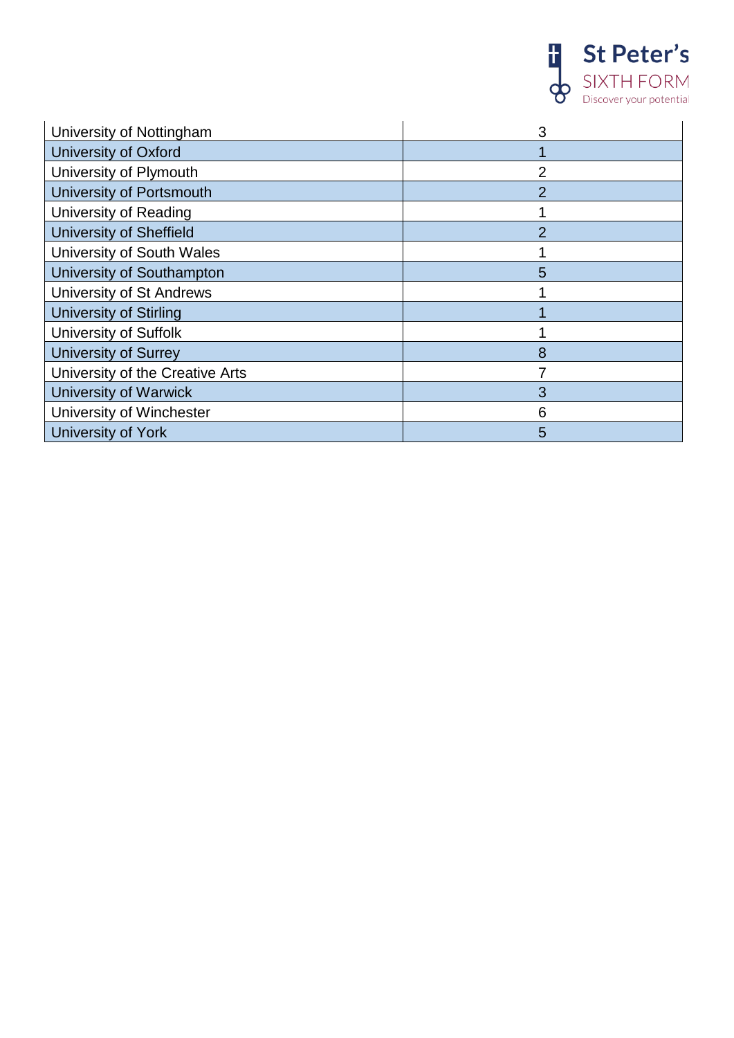

| University of Nottingham        | 3              |
|---------------------------------|----------------|
| <b>University of Oxford</b>     |                |
| University of Plymouth          | $\overline{2}$ |
| <b>University of Portsmouth</b> | 2              |
| University of Reading           |                |
| <b>University of Sheffield</b>  | 2              |
| University of South Wales       |                |
| University of Southampton       | 5              |
| <b>University of St Andrews</b> |                |
| University of Stirling          |                |
| <b>University of Suffolk</b>    |                |
| <b>University of Surrey</b>     | 8              |
| University of the Creative Arts |                |
| <b>University of Warwick</b>    | 3              |
| University of Winchester        | 6              |
| University of York              | 5              |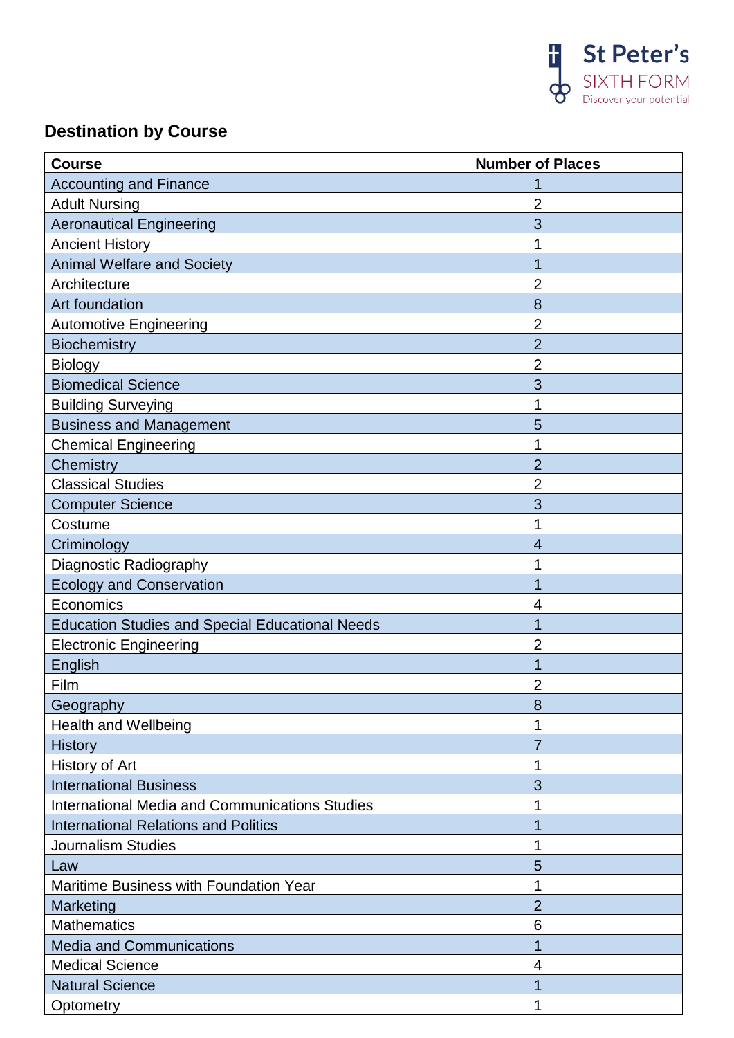

## **Destination by Course**

| <b>Course</b>                                          | <b>Number of Places</b> |
|--------------------------------------------------------|-------------------------|
| <b>Accounting and Finance</b>                          |                         |
| <b>Adult Nursing</b>                                   | 2                       |
| <b>Aeronautical Engineering</b>                        | 3                       |
| <b>Ancient History</b>                                 |                         |
| <b>Animal Welfare and Society</b>                      | 1                       |
| Architecture                                           | 2                       |
| Art foundation                                         | 8                       |
| <b>Automotive Engineering</b>                          | $\overline{2}$          |
| <b>Biochemistry</b>                                    | $\overline{2}$          |
| <b>Biology</b>                                         | 2                       |
| <b>Biomedical Science</b>                              | 3                       |
| <b>Building Surveying</b>                              | 1                       |
| <b>Business and Management</b>                         | 5                       |
| <b>Chemical Engineering</b>                            | 1                       |
| Chemistry                                              | $\overline{2}$          |
| <b>Classical Studies</b>                               | 2                       |
| <b>Computer Science</b>                                | 3                       |
| Costume                                                |                         |
| Criminology                                            | 4                       |
| Diagnostic Radiography                                 |                         |
| <b>Ecology and Conservation</b>                        | 1                       |
| Economics                                              | 4                       |
| <b>Education Studies and Special Educational Needs</b> | 1                       |
| <b>Electronic Engineering</b>                          | 2                       |
| English                                                |                         |
| Film                                                   | 2                       |
| Geography                                              | 8                       |
| <b>Health and Wellbeing</b>                            |                         |
| <b>History</b>                                         | 7                       |
| History of Art                                         |                         |
| <b>International Business</b>                          | 3                       |
| <b>International Media and Communications Studies</b>  |                         |
| <b>International Relations and Politics</b>            | 1                       |
| <b>Journalism Studies</b>                              | 1                       |
| Law                                                    | 5                       |
| Maritime Business with Foundation Year                 | 1                       |
| Marketing                                              | $\overline{2}$          |
| <b>Mathematics</b>                                     | 6                       |
| <b>Media and Communications</b>                        | 1                       |
| <b>Medical Science</b>                                 | 4                       |
| <b>Natural Science</b>                                 |                         |
| Optometry                                              | 1                       |